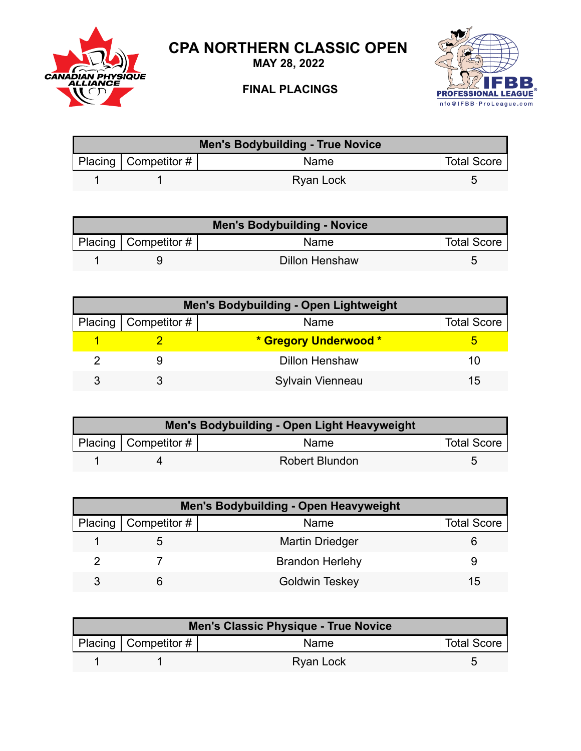

**MAY 28, 2022**







| Men's Bodybuilding - True Novice |                          |           |                    |  |
|----------------------------------|--------------------------|-----------|--------------------|--|
|                                  | Placing   Competitor $#$ | Name      | <b>Total Score</b> |  |
|                                  |                          | Ryan Lock |                    |  |

| <b>Men's Bodybuilding - Novice</b> |                        |                |                    |  |
|------------------------------------|------------------------|----------------|--------------------|--|
|                                    | Placing   Competitor # | Name           | <b>Total Score</b> |  |
|                                    |                        | Dillon Henshaw |                    |  |

| Men's Bodybuilding - Open Lightweight |                        |                       |                    |  |
|---------------------------------------|------------------------|-----------------------|--------------------|--|
|                                       | Placing   Competitor # | Name                  | <b>Total Score</b> |  |
|                                       |                        | * Gregory Underwood * |                    |  |
|                                       |                        | <b>Dillon Henshaw</b> | 10                 |  |
|                                       |                        | Sylvain Vienneau      | 15                 |  |

| Men's Bodybuilding - Open Light Heavyweight |                        |                       |                    |  |
|---------------------------------------------|------------------------|-----------------------|--------------------|--|
|                                             | Placing   Competitor # | <b>Name</b>           | <b>Total Score</b> |  |
|                                             |                        | <b>Robert Blundon</b> |                    |  |

| <b>Men's Bodybuilding - Open Heavyweight</b> |                              |                        |                    |  |
|----------------------------------------------|------------------------------|------------------------|--------------------|--|
|                                              | Placing $\vert$ Competitor # | Name                   | <b>Total Score</b> |  |
|                                              |                              | <b>Martin Driedger</b> |                    |  |
|                                              |                              | <b>Brandon Herlehy</b> |                    |  |
|                                              |                              | <b>Goldwin Teskey</b>  | 15                 |  |

| Men's Classic Physique - True Novice |                           |                  |                    |  |
|--------------------------------------|---------------------------|------------------|--------------------|--|
|                                      | Placing   Competitor $\#$ | <b>Name</b>      | <b>Total Score</b> |  |
|                                      |                           | <b>Ryan Lock</b> |                    |  |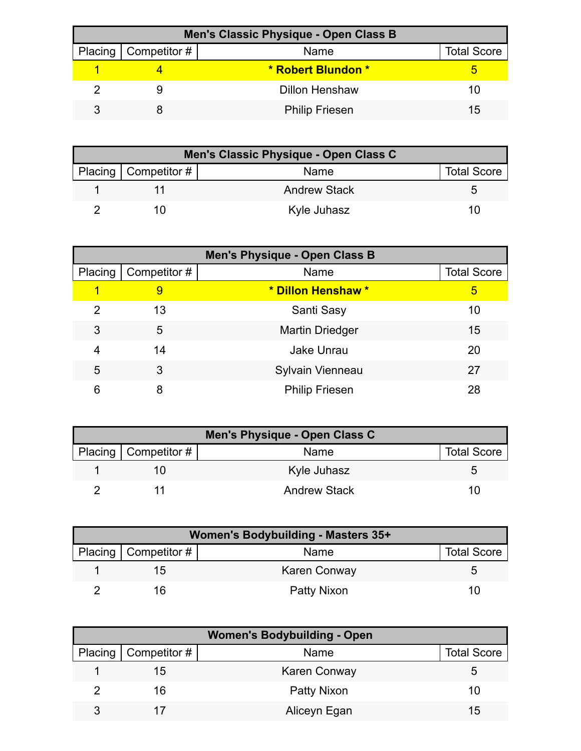| Men's Classic Physique - Open Class B |                        |                       |                    |  |
|---------------------------------------|------------------------|-----------------------|--------------------|--|
|                                       | Placing   Competitor # | Name                  | <b>Total Score</b> |  |
|                                       |                        | * Robert Blundon *    |                    |  |
|                                       |                        | <b>Dillon Henshaw</b> | 10                 |  |
|                                       |                        | <b>Philip Friesen</b> | 15                 |  |

| Men's Classic Physique - Open Class C |                        |                     |                    |  |
|---------------------------------------|------------------------|---------------------|--------------------|--|
|                                       | Placing   Competitor # | Name                | <b>Total Score</b> |  |
|                                       |                        | <b>Andrew Stack</b> |                    |  |
|                                       |                        | Kyle Juhasz         | 10                 |  |

| Men's Physique - Open Class B |              |                        |                    |  |
|-------------------------------|--------------|------------------------|--------------------|--|
| Placing                       | Competitor # | Name                   | <b>Total Score</b> |  |
| 1                             | 9            | * Dillon Henshaw *     | 5                  |  |
| 2                             | 13           | Santi Sasy             | 10                 |  |
| 3                             | 5            | <b>Martin Driedger</b> | 15                 |  |
| 4                             | 14           | <b>Jake Unrau</b>      | 20                 |  |
| 5                             | 3            | Sylvain Vienneau       | 27                 |  |
| 6                             | 8            | <b>Philip Friesen</b>  | 28                 |  |

| Men's Physique - Open Class C |                        |                     |                    |  |
|-------------------------------|------------------------|---------------------|--------------------|--|
|                               | Placing   Competitor # | Name                | <b>Total Score</b> |  |
|                               |                        | Kyle Juhasz         |                    |  |
|                               |                        | <b>Andrew Stack</b> |                    |  |

| <b>Women's Bodybuilding - Masters 35+</b> |                          |                     |                    |  |
|-------------------------------------------|--------------------------|---------------------|--------------------|--|
|                                           | Placing   Competitor $#$ | Name                | <b>Total Score</b> |  |
|                                           | מ!                       | <b>Karen Conway</b> |                    |  |
|                                           | ၊ 6                      | Patty Nixon         | 10                 |  |

| <b>Women's Bodybuilding - Open</b> |                              |                     |                    |  |
|------------------------------------|------------------------------|---------------------|--------------------|--|
|                                    | Placing $\vert$ Competitor # | Name                | <b>Total Score</b> |  |
|                                    | 15                           | <b>Karen Conway</b> | :C                 |  |
|                                    | 16                           | Patty Nixon         | 10                 |  |
| ঽ                                  |                              | Aliceyn Egan        | 15                 |  |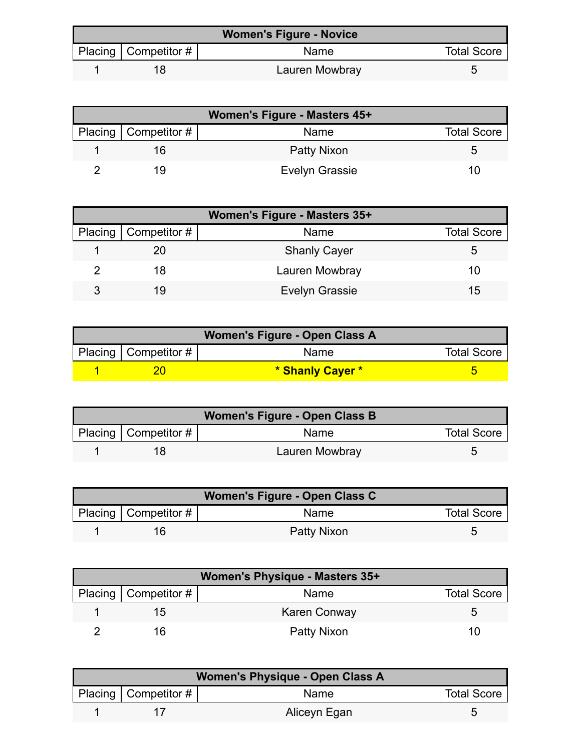| <b>Women's Figure - Novice</b> |                          |                |                    |
|--------------------------------|--------------------------|----------------|--------------------|
|                                | Placing   Competitor $#$ | <b>Name</b>    | <b>Total Score</b> |
|                                |                          | Lauren Mowbray |                    |

| Women's Figure - Masters 45+ |                    |                    |  |  |
|------------------------------|--------------------|--------------------|--|--|
| Placing   Competitor #       | Name               | <b>Total Score</b> |  |  |
|                              | <b>Patty Nixon</b> |                    |  |  |
| 19.                          | Evelyn Grassie     |                    |  |  |

| Women's Figure - Masters 35+ |                        |                       |                    |  |
|------------------------------|------------------------|-----------------------|--------------------|--|
|                              | Placing   Competitor # | Name                  | <b>Total Score</b> |  |
|                              |                        | <b>Shanly Cayer</b>   |                    |  |
|                              | 18                     | Lauren Mowbray        | 10                 |  |
| ર                            | 19                     | <b>Evelyn Grassie</b> | 15                 |  |

| Women's Figure - Open Class A |                        |                  |                    |  |
|-------------------------------|------------------------|------------------|--------------------|--|
|                               | Placing   Competitor # | Name             | <b>Total Score</b> |  |
|                               |                        | * Shanly Cayer * |                    |  |

| Women's Figure - Open Class B |                        |                |                    |  |
|-------------------------------|------------------------|----------------|--------------------|--|
|                               | Placing   Competitor # | <b>Name</b>    | <b>Total Score</b> |  |
|                               |                        | Lauren Mowbray |                    |  |

| Women's Figure - Open Class C |                        |             |                    |  |
|-------------------------------|------------------------|-------------|--------------------|--|
|                               | Placing   Competitor # | <b>Name</b> | <b>Total Score</b> |  |
|                               |                        | Patty Nixon |                    |  |

| Women's Physique - Masters 35+ |                        |                     |                    |  |
|--------------------------------|------------------------|---------------------|--------------------|--|
|                                | Placing   Competitor # | Name                | <b>Total Score</b> |  |
|                                | 15                     | <b>Karen Conway</b> |                    |  |
|                                | 16                     | Patty Nixon         | 10                 |  |

| <b>Women's Physique - Open Class A</b> |                          |              |                    |  |
|----------------------------------------|--------------------------|--------------|--------------------|--|
|                                        | Placing   Competitor $#$ | Name         | <b>Total Score</b> |  |
|                                        |                          | Aliceyn Egan |                    |  |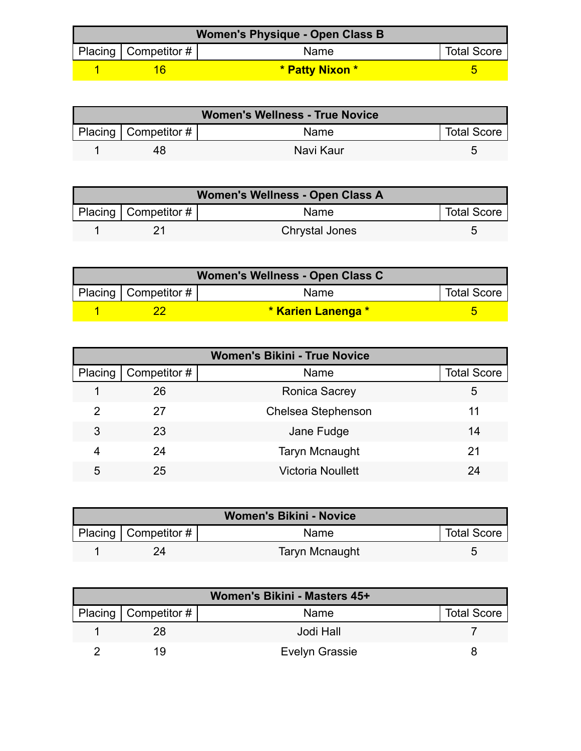| Women's Physique - Open Class B |                          |                 |                    |  |
|---------------------------------|--------------------------|-----------------|--------------------|--|
|                                 | Placing   Competitor $#$ | <b>Name</b>     | <b>Total Score</b> |  |
|                                 |                          | * Patty Nixon * |                    |  |

| <b>Women's Wellness - True Novice</b> |                          |             |                    |  |
|---------------------------------------|--------------------------|-------------|--------------------|--|
|                                       | Placing   Competitor $#$ | <b>Name</b> | <b>Total Score</b> |  |
|                                       | 48                       | Navi Kaur   |                    |  |

| Women's Wellness - Open Class A |                        |                       |                    |
|---------------------------------|------------------------|-----------------------|--------------------|
|                                 | Placing   Competitor # | Name                  | <b>Total Score</b> |
|                                 |                        | <b>Chrystal Jones</b> |                    |

| Women's Wellness - Open Class C |                                           |                    |                    |  |
|---------------------------------|-------------------------------------------|--------------------|--------------------|--|
|                                 | $\mid$ Placing $\mid$ Competitor # $\mid$ | <b>Name</b>        | <b>Total Score</b> |  |
|                                 |                                           | * Karien Lanenga * |                    |  |

| <b>Women's Bikini - True Novice</b> |              |                           |                    |  |
|-------------------------------------|--------------|---------------------------|--------------------|--|
| Placing                             | Competitor # | Name                      | <b>Total Score</b> |  |
|                                     | 26           | <b>Ronica Sacrey</b>      | 5                  |  |
| 2                                   | 27           | <b>Chelsea Stephenson</b> | 11                 |  |
| 3                                   | 23           | Jane Fudge                | 14                 |  |
| 4                                   | 24           | <b>Taryn Mcnaught</b>     | 21                 |  |
| 5                                   | 25           | <b>Victoria Noullett</b>  | 24                 |  |

| <b>Women's Bikini - Novice</b> |                        |                |                    |
|--------------------------------|------------------------|----------------|--------------------|
|                                | Placing   Competitor # | Name           | <b>Total Score</b> |
|                                |                        | Taryn Mcnaught |                    |

| Women's Bikini - Masters 45+ |                        |                       |                    |
|------------------------------|------------------------|-----------------------|--------------------|
|                              | Placing   Competitor # | Name                  | <b>Total Score</b> |
|                              | 28                     | Jodi Hall             |                    |
|                              |                        | <b>Evelyn Grassie</b> |                    |